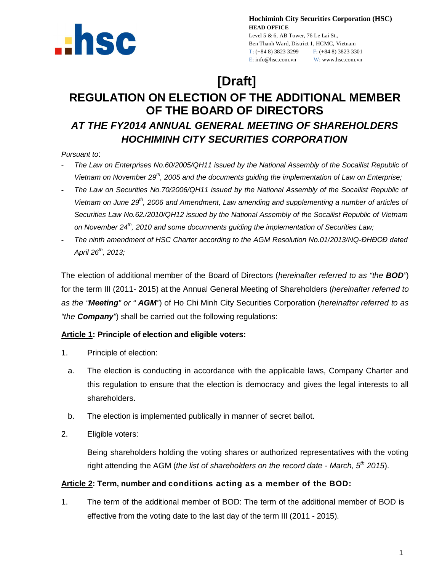

**Hochiminh City Securities Corporation (HSC) HEAD OFFICE**

Level 5 & 6, AB Tower, 76 Le Lai St., Ben Thanh Ward, District 1, HCMC, Vietnam T: (+84 8) 3823 3299 F: (+84 8) 3823 3301 E: info@hsc.com.vn W: www.hsc.com.vn

# **[Draft]**

# **REGULATION ON ELECTION OF THE ADDITIONAL MEMBER OF THE BOARD OF DIRECTORS**  *AT THE FY2014 ANNUAL GENERAL MEETING OF SHAREHOLDERS HOCHIMINH CITY SECURITIES CORPORATION*

*Pursuant to*:

- *The Law on Enterprises No.60/2005/QH11 issued by the National Assembly of the Socailist Republic of Vietnam on November 29th, 2005 and the documents guiding the implementation of Law on Enterprise;*
- *The Law on Securities No.70/2006/QH11 issued by the National Assembly of the Socailist Republic of Vietnam on June 29th, 2006 and Amendment, Law amending and supplementing a number of articles of Securities Law No.62./2010/QH12 issued by the National Assembly of the Socailist Republic of Vietnam on November 24th, 2010 and some documnents guiding the implementation of Securities Law;*
- *The ninth amendment of HSC Charter according to the AGM Resolution No.01/2013/NQ-ĐHĐCĐ dated April 26th, 2013;*

The election of additional member of the Board of Directors (*hereinafter referred to as "the BOD"*) for the term III (2011- 2015) at the Annual General Meeting of Shareholders (*hereinafter referred to as the "Meeting" or " AGM"*) of Ho Chi Minh City Securities Corporation (*hereinafter referred to as "the Company"*) shall be carried out the following regulations:

# **Article 1: Principle of election and eligible voters:**

- 1. Principle of election:
	- a. The election is conducting in accordance with the applicable laws, Company Charter and this regulation to ensure that the election is democracy and gives the legal interests to all shareholders.
	- b. The election is implemented publically in manner of secret ballot.
- 2. Eligible voters:

Being shareholders holding the voting shares or authorized representatives with the voting right attending the AGM (*the list of shareholders on the record date - March, 5th 2015*).

# **Article 2: Term, number and conditions acting as a member of the BOD:**

1. The term of the additional member of BOD: The term of the additional member of BOD is effective from the voting date to the last day of the term III (2011 - 2015).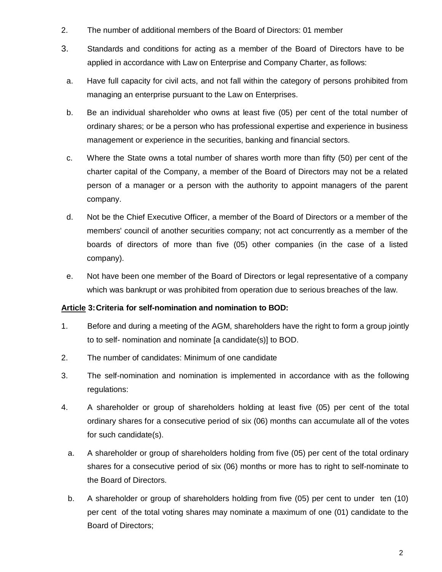- 2. The number of additional members of the Board of Directors: 01 member
- 3. Standards and conditions for acting as a member of the Board of Directors have to be applied in accordance with Law on Enterprise and Company Charter, as follows:
	- a. Have full capacity for civil acts, and not fall within the category of persons prohibited from managing an enterprise pursuant to the Law on Enterprises.
	- b. Be an individual shareholder who owns at least five (05) per cent of the total number of ordinary shares; or be a person who has professional expertise and experience in business management or experience in the securities, banking and financial sectors.
	- c. Where the State owns a total number of shares worth more than fifty (50) per cent of the charter capital of the Company, a member of the Board of Directors may not be a related person of a manager or a person with the authority to appoint managers of the parent company.
	- d. Not be the Chief Executive Officer, a member of the Board of Directors or a member of the members' council of another securities company; not act concurrently as a member of the boards of directors of more than five (05) other companies (in the case of a listed company).
	- e. Not have been one member of the Board of Directors or legal representative of a company which was bankrupt or was prohibited from operation due to serious breaches of the law.

# **Article 3:Criteria for self-nomination and nomination to BOD:**

- 1. Before and during a meeting of the AGM, shareholders have the right to form a group jointly to to self- nomination and nominate [a candidate(s)] to BOD.
- 2. The number of candidates: Minimum of one candidate
- 3. The self-nomination and nomination is implemented in accordance with as the following regulations:
- 4. A shareholder or group of shareholders holding at least five (05) per cent of the total ordinary shares for a consecutive period of six (06) months can accumulate all of the votes for such candidate(s).
	- a. A shareholder or group of shareholders holding from five (05) per cent of the total ordinary shares for a consecutive period of six (06) months or more has to right to self-nominate to the Board of Directors.
	- b. A shareholder or group of shareholders holding from five (05) per cent to under ten (10) per cent of the total voting shares may nominate a maximum of one (01) candidate to the Board of Directors;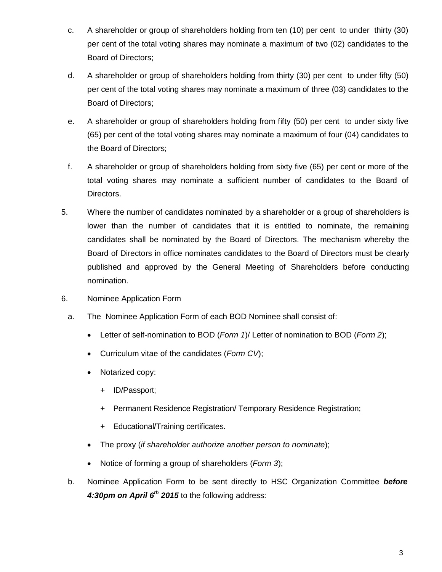- c. A shareholder or group of shareholders holding from ten (10) per cent to under thirty (30) per cent of the total voting shares may nominate a maximum of two (02) candidates to the Board of Directors;
- d. A shareholder or group of shareholders holding from thirty (30) per cent to under fifty (50) per cent of the total voting shares may nominate a maximum of three (03) candidates to the Board of Directors;
- e. A shareholder or group of shareholders holding from fifty (50) per cent to under sixty five (65) per cent of the total voting shares may nominate a maximum of four (04) candidates to the Board of Directors;
- f. A shareholder or group of shareholders holding from sixty five (65) per cent or more of the total voting shares may nominate a sufficient number of candidates to the Board of Directors.
- 5. Where the number of candidates nominated by a shareholder or a group of shareholders is lower than the number of candidates that it is entitled to nominate, the remaining candidates shall be nominated by the Board of Directors. The mechanism whereby the Board of Directors in office nominates candidates to the Board of Directors must be clearly published and approved by the General Meeting of Shareholders before conducting nomination.
- 6. Nominee Application Form
	- a. The Nominee Application Form of each BOD Nominee shall consist of:
		- Letter of self-nomination to BOD (*Form 1*)/ Letter of nomination to BOD (*Form 2*);
		- Curriculum vitae of the candidates (*Form CV*);
		- Notarized copy:
			- + ID/Passport;
			- + Permanent Residence Registration/ Temporary Residence Registration;
			- + Educational/Training certificates.
		- The proxy (*if shareholder authorize another person to nominate*);
		- Notice of forming a group of shareholders (*Form 3*);
	- b. Nominee Application Form to be sent directly to HSC Organization Committee *before 4:30pm on April 6th 2015* to the following address: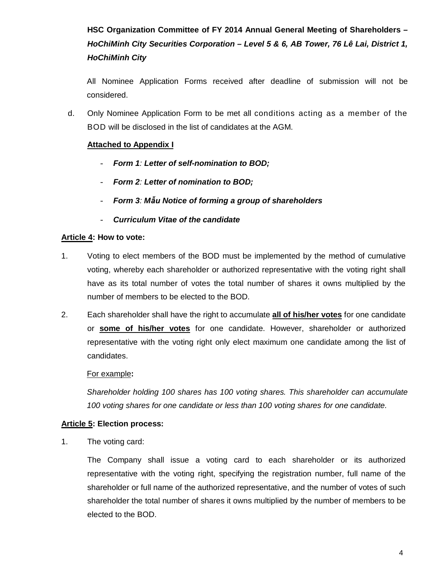**HSC Organization Committee of FY 2014 Annual General Meeting of Shareholders** *– HoChiMinh City Securities Corporation – Level 5 & 6, AB Tower, 76 Lê Lai, District 1, HoChiMinh City*

All Nominee Application Forms received after deadline of submission will not be considered.

d. Only Nominee Application Form to be met all conditions acting as a member of the BOD will be disclosed in the list of candidates at the AGM.

# **Attached to Appendix I**

- *Form 1: Letter of self-nomination to BOD;*
- *Form 2: Letter of nomination to BOD;*
- *Form 3: Mẫu Notice of forming a group of shareholders*
- *Curriculum Vitae of the candidate*

#### **Article 4: How to vote:**

- 1. Voting to elect members of the BOD must be implemented by the method of cumulative voting, whereby each shareholder or authorized representative with the voting right shall have as its total number of votes the total number of shares it owns multiplied by the number of members to be elected to the BOD.
- 2. Each shareholder shall have the right to accumulate **all of his/her votes** for one candidate or **some of his/her votes** for one candidate. However, shareholder or authorized representative with the voting right only elect maximum one candidate among the list of candidates.

#### For example**:**

*Shareholder holding 100 shares has 100 voting shares. This shareholder can accumulate 100 voting shares for one candidate or less than 100 voting shares for one candidate.*

#### **Article 5: Election process:**

1. The voting card:

The Company shall issue a voting card to each shareholder or its authorized representative with the voting right, specifying the registration number, full name of the shareholder or full name of the authorized representative, and the number of votes of such shareholder the total number of shares it owns multiplied by the number of members to be elected to the BOD.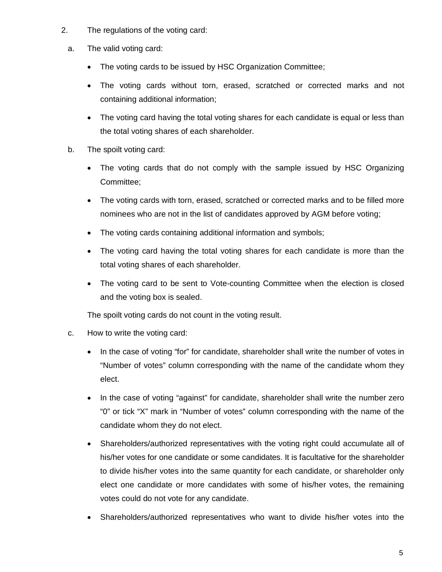- 2. The regulations of the voting card:
	- a. The valid voting card:
		- The voting cards to be issued by HSC Organization Committee;
		- The voting cards without torn, erased, scratched or corrected marks and not containing additional information;
		- The voting card having the total voting shares for each candidate is equal or less than the total voting shares of each shareholder.
	- b. The spoilt voting card:
		- The voting cards that do not comply with the sample issued by HSC Organizing Committee;
		- The voting cards with torn, erased, scratched or corrected marks and to be filled more nominees who are not in the list of candidates approved by AGM before voting;
		- The voting cards containing additional information and symbols;
		- The voting card having the total voting shares for each candidate is more than the total voting shares of each shareholder.
		- The voting card to be sent to Vote-counting Committee when the election is closed and the voting box is sealed.

The spoilt voting cards do not count in the voting result.

- c. How to write the voting card:
	- In the case of voting "for" for candidate, shareholder shall write the number of votes in "Number of votes" column corresponding with the name of the candidate whom they elect.
	- In the case of voting "against" for candidate, shareholder shall write the number zero "0" or tick "X" mark in "Number of votes" column corresponding with the name of the candidate whom they do not elect.
	- Shareholders/authorized representatives with the voting right could accumulate all of his/her votes for one candidate or some candidates. It is facultative for the shareholder to divide his/her votes into the same quantity for each candidate, or shareholder only elect one candidate or more candidates with some of his/her votes, the remaining votes could do not vote for any candidate.
	- Shareholders/authorized representatives who want to divide his/her votes into the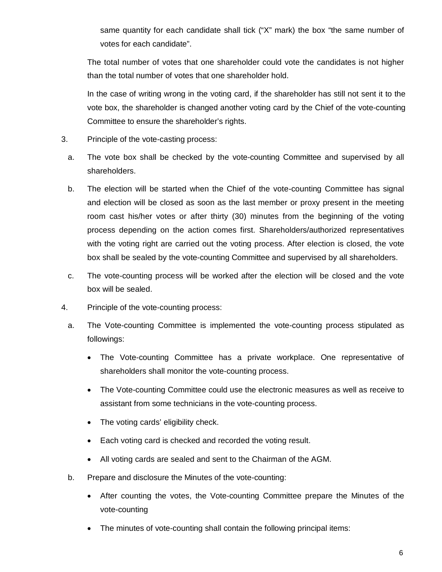same quantity for each candidate shall tick ("X" mark) the box "the same number of votes for each candidate".

The total number of votes that one shareholder could vote the candidates is not higher than the total number of votes that one shareholder hold.

In the case of writing wrong in the voting card, if the shareholder has still not sent it to the vote box, the shareholder is changed another voting card by the Chief of the vote-counting Committee to ensure the shareholder's rights.

- 3. Principle of the vote-casting process:
	- a. The vote box shall be checked by the vote-counting Committee and supervised by all shareholders.
	- b. The election will be started when the Chief of the vote-counting Committee has signal and election will be closed as soon as the last member or proxy present in the meeting room cast his/her votes or after thirty (30) minutes from the beginning of the voting process depending on the action comes first. Shareholders/authorized representatives with the voting right are carried out the voting process. After election is closed, the vote box shall be sealed by the vote-counting Committee and supervised by all shareholders.
	- c. The vote-counting process will be worked after the election will be closed and the vote box will be sealed.
- 4. Principle of the vote-counting process:
	- a. The Vote-counting Committee is implemented the vote-counting process stipulated as followings:
		- The Vote-counting Committee has a private workplace. One representative of shareholders shall monitor the vote-counting process.
		- The Vote-counting Committee could use the electronic measures as well as receive to assistant from some technicians in the vote-counting process.
		- The voting cards' eligibility check.
		- Each voting card is checked and recorded the voting result.
		- All voting cards are sealed and sent to the Chairman of the AGM.
	- b. Prepare and disclosure the Minutes of the vote-counting:
		- After counting the votes, the Vote-counting Committee prepare the Minutes of the vote-counting
		- The minutes of vote-counting shall contain the following principal items: